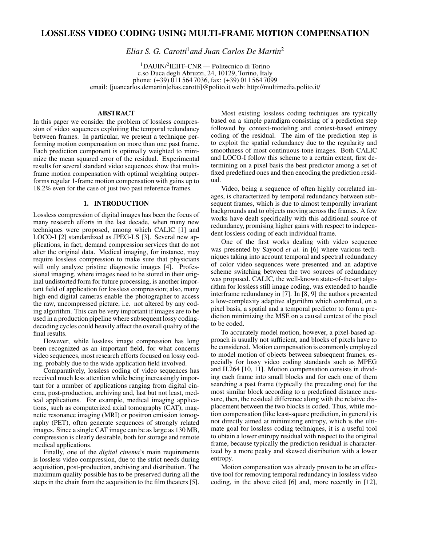# LOSSLESS VIDEO CODING USING MULTI-FRAME MOTION COMPENSATION

*Elias S. G. Carotti*<sup>1</sup>*and Juan Carlos De Martin*<sup>2</sup>

<sup>1</sup>DAUIN/<sup>2</sup> IEIIT–CNR — Politecnico di Torino c.so Duca degli Abruzzi, 24, 10129, Torino, Italy phone: (+39) 011 564 7036, fax: (+39) 011 564 7099 email: [juancarlos.demartin|elias.carotti]@polito.it web: http://multimedia.polito.it/

## ABSTRACT

In this paper we consider the problem of lossless compression of video sequences exploiting the temporal redundancy between frames. In particular, we present a technique performing motion compensation on more than one past frame. Each prediction component is optimally weighted to minimize the mean squared error of the residual. Experimental results for several standard video sequences show that multiframe motion compensation with optimal weighting outperforms regular 1-frame motion compensation with gains up to 18.2% even for the case of just two past reference frames.

### 1. INTRODUCTION

Lossless compression of digital images has been the focus of many research efforts in the last decade, when many new techniques were proposed, among which CALIC [1] and LOCO-I [2] standardized as JPEG-LS [3]. Several new applications, in fact, demand compression services that do not alter the original data. Medical imaging, for instance, may require lossless compression to make sure that physicians will only analyze pristine diagnostic images [4]. Professional imaging, where images need to be stored in their original undistorted form for future processing, is another important field of application for lossless compression; also, many high-end digital cameras enable the photographer to access the raw, uncompressed picture, i.e. not altered by any coding algorithm. This can be very important if images are to be used in a production pipeline where subsequent lossy codingdecoding cycles could heavily affect the overall quality of the final results.

However, while lossless image compression has long been recognized as an important field, for what concerns video sequences, most research efforts focused on lossy coding, probably due to the wide application field involved.

Comparatively, lossless coding of video sequences has received much less attention while being increasingly important for a number of applications ranging from digital cinema, post-production, archiving and, last but not least, medical applications. For example, medical imaging applications, such as computerized axial tomography (CAT), magnetic resonance imaging (MRI) or positron emission tomography (PET), often generate sequences of strongly related images. Since a single CAT image can be as large as 130 MB, compression is clearly desirable, both for storage and remote medical applications.

Finally, one of the *digital cinema*'s main requirements is lossless video compression, due to the strict needs during acquisition, post-production, archiving and distribution. The maximum quality possible has to be preserved during all the steps in the chain from the acquisition to the film theaters [5].

Most existing lossless coding techniques are typically based on a simple paradigm consisting of a prediction step followed by context-modeling and context-based entropy coding of the residual. The aim of the prediction step is to exploit the spatial redundancy due to the regularity and smoothness of most continuous-tone images. Both CALIC and LOCO-I follow this scheme to a certain extent, first determining on a pixel basis the best predictor among a set of fixed predefined ones and then encoding the prediction residual.

Video, being a sequence of often highly correlated images, is characterized by temporal redundancy between subsequent frames, which is due to almost temporally invariant backgrounds and to objects moving across the frames. A few works have dealt specifically with this additional source of redundancy, promising higher gains with respect to independent lossless coding of each individual frame.

One of the first works dealing with video sequence was presented by Sayood *et al.* in [6] where various techniques taking into account temporal and spectral redundancy of color video sequences were presented and an adaptive scheme switching between the two sources of redundancy was proposed. CALIC, the well-known state-of-the-art algorithm for lossless still image coding, was extended to handle interframe redundancy in [7]. In [8, 9] the authors presented a low-complexity adaptive algorithm which combined, on a pixel basis, a spatial and a temporal predictor to form a prediction minimizing the MSE on a causal context of the pixel to be coded.

To accurately model motion, however, a pixel-based approach is usually not sufficient, and blocks of pixels have to be considered. Motion compensation is commonly employed to model motion of objects between subsequent frames, especially for lossy video coding standards such as MPEG and H.264 [10, 11]. Motion compensation consists in dividing each frame into small blocks and for each one of them searching a past frame (typically the preceding one) for the most similar block according to a predefined distance measure, then, the residual difference along with the relative displacement between the two blocks is coded. Thus, while motion compensation (like least-square prediction, in general) is not directly aimed at minimizing entropy, which is the ultimate goal for lossless coding techniques, it is a useful tool to obtain a lower entropy residual with respect to the original frame, because typically the prediction residual is characterized by a more peaky and skewed distribution with a lower entropy.

Motion compensation was already proven to be an effective tool for removing temporal redundancy in lossless video coding, in the above cited [6] and, more recently in [12],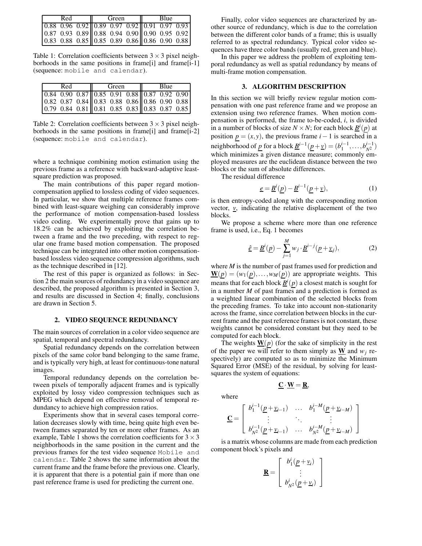| Red | Green                                                                                                                                                                                                                           | Blue |  |
|-----|---------------------------------------------------------------------------------------------------------------------------------------------------------------------------------------------------------------------------------|------|--|
|     |                                                                                                                                                                                                                                 |      |  |
|     |                                                                                                                                                                                                                                 |      |  |
|     | $\begin{array}{rrrrr} 0.88 & 0.96 & 0.92 & 0.89 & 0.97 & 0.92 & 0.91 & 0.97 & 0.93 \\ 0.87 & 0.93 & 0.89 & 0.88 & 0.94 & 0.90 & 0.90 & 0.95 & 0.92 \\ 0.83 & 0.88 & 0.85 & 0.85 & 0.89 & 0.86 & 0.86 & 0.90 & 0.88 \end{array}$ |      |  |

Table 1: Correlation coefficients between  $3 \times 3$  pixel neighborhoods in the same positions in frame[i] and frame[i-1] (sequence: mobile and calendar).

| Red | Green | <b>Blue</b> |  |  |
|-----|-------|-------------|--|--|
|     |       |             |  |  |
|     |       |             |  |  |
|     |       |             |  |  |

Table 2: Correlation coefficients between  $3 \times 3$  pixel neighborhoods in the same positions in frame[i] and frame[i-2] (sequence: mobile and calendar).

where a technique combining motion estimation using the previous frame as a reference with backward-adaptive leastsquare prediction was proposed.

The main contributions of this paper regard motioncompensation applied to lossless coding of video sequences. In particular, we show that multiple reference frames combined with least-square weighing can considerably improve the performance of motion compensation-based lossless video coding. We experimentally prove that gains up to 18.2% can be achieved by exploiting the correlation between a frame and the two preceding, with respect to regular one frame based motion compensation. The proposed technique can be integrated into other motion compensationbased lossless video sequence compression algorithms, such as the technique described in [12].

The rest of this paper is organized as follows: in Section 2 the main sources of redundancy in a video sequence are described, the proposed algorithm is presented in Section 3, and results are discussed in Section 4; finally, conclusions are drawn in Section 5.

#### 2. VIDEO SEQUENCE REDUNDANCY

The main sources of correlation in a color video sequence are spatial, temporal and spectral redundancy.

Spatial redundancy depends on the correlation between pixels of the same color band belonging to the same frame, and is typically very high, at least for continuous-tone natural images.

Temporal redundancy depends on the correlation between pixels of temporally adjacent frames and is typically exploited by lossy video compression techniques such as MPEG which depend on effective removal of temporal redundancy to achieve high compression ratios.

Experiments show that in several cases temporal correlation decreases slowly with time, being quite high even between frames separated by ten or more other frames. As an example, Table 1 shows the correlation coefficients for  $3 \times 3$ neighborhoods in the same position in the current and the previous frames for the test video sequence Mobile and calendar. Table 2 shows the same information about the current frame and the frame before the previous one. Clearly, it is apparent that there is a potential gain if more than one past reference frame is used for predicting the current one.

Finally, color video sequences are characterized by another source of redundancy, which is due to the correlation between the different color bands of a frame; this is usually referred to as spectral redundancy. Typical color video sequences have three color bands (usually red, green and blue).

In this paper we address the problem of exploiting temporal redundancy as well as spatial redundancy by means of multi-frame motion compensation.

#### 3. ALGORITHM DESCRIPTION

In this section we will briefly review regular motion compensation with one past reference frame and we propose an extension using two reference frames. When motion compensation is performed, the frame to-be-coded, *i*, is divided in a number of blocks of size  $N \times N$ ; for each block  $\underline{B}^i(p)$  at position  $p = (x, y)$ , the previous frame  $i - 1$  is searched in a neighborhood of  $\underline{p}$  for a block  $\underline{B}^{i-1}(\underline{p}+\underline{v}) = (b_1^{i-1}, \dots, b_{N^2}^{i-1})$ which minimizes a given distance measure; commonly employed measures are the euclidean distance between the two blocks or the sum of absolute differences.

The residual difference

$$
\underline{e} = \underline{B}^i(\underline{p}) - \underline{B}^{i-1}(\underline{p} + \underline{v}),\tag{1}
$$

is then entropy-coded along with the corresponding motion vector,  $v<sub>x</sub>$ , indicating the relative displacement of the two blocks.

We propose a scheme where more than one reference frame is used, i.e., Eq. 1 becomes

$$
\underline{\hat{e}} = \underline{B}^i(\underline{p}) - \sum_{j=1}^M w_j \cdot \underline{B}^{i-j}(\underline{p} + \underline{v}_j),\tag{2}
$$

where *M* is the number of past frames used for prediction and  $\underline{\mathbf{W}}(\underline{p}) = (w_1(\underline{p}), \dots, w_M(\underline{p}))$  are appropriate weights. This means that for each block  $\underline{B}^i(p)$  a closest match is sought for in a number *M* of past frames and a prediction is formed as a weighted linear combination of the selected blocks from the preceding frames. To take into account non-stationarity across the frame, since correlation between blocks in the current frame and the past reference frames is not constant, these weights cannot be considered constant but they need to be computed for each block.

The weights  $\underline{W}(p)$  (for the sake of simplicity in the rest of the paper we will refer to them simply as **W** and  $w_i$  respectively) are computed so as to minimize the Minimum Squared Error (MSE) of the residual, by solving for leastsquares the system of equations:

 $\underline{\mathbf{C}} \cdot \underline{\mathbf{W}} = \underline{\mathbf{R}}$ ,

where

$$
\underline{\mathbf{C}} = \left[ \begin{array}{cccc} b_1^{i-1}(\underline{p} + \underline{v}_{i-1}) & \dots & b_1^{i-M}(\underline{p} + \underline{v}_{i-M}) \\ \vdots & \ddots & \vdots \\ b_{N^2}^{i-1}(\underline{p} + \underline{v}_{i-1}) & \dots & b_{N^2}^{i-M}(\underline{p} + \underline{v}_{i-M}) \end{array} \right]
$$

is a matrix whose columns are made from each prediction component block's pixels and

$$
\mathbf{\underline{R}} = \left[ \begin{array}{c} b_1^i(\underline{p} + \underline{v}_i) \\ \vdots \\ b_{N^2}^i(\underline{p} + \underline{v}_i) \end{array} \right]
$$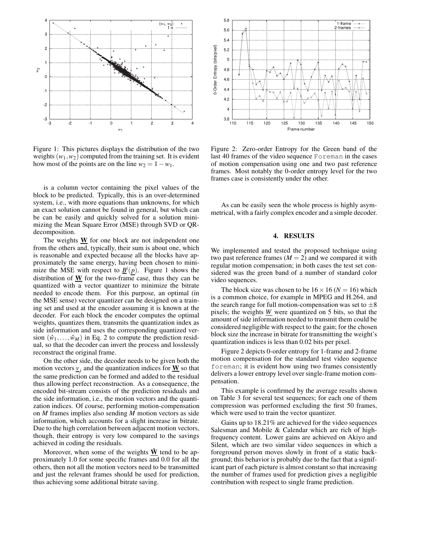

Figure 1: This pictures displays the distribution of the two weights  $(w_1, w_2)$  computed from the training set. It is evident how most of the points are on the line  $w_2 = 1 - w_1$ .

is a column vector containing the pixel values of the block to be predicted. Typically, this is an over-determined system, i.e., with more equations than unknowns, for which an exact solution cannot be found in general, but which can be can be easily and quickly solved for a solution minimizing the Mean Square Error (MSE) through SVD or QRdecomposition.

The weights  **for one block are not independent one** from the others and, typically, their sum is about one, which is reasonable and expected because all the blocks have approximately the same energy, having been chosen to minimize the MSE with respect to  $\underline{B}^i(p)$ . Figure 1 shows the distribution of W for the two-frame case, thus they can be quantized with a vector quantizer to minimize the bitrate needed to encode them. For this purpose, an optimal (in the MSE sense) vector quantizer can be designed on a training set and used at the encoder assuming it is known at the decoder. For each block the encoder computes the optimal weights, quantizes them, transmits the quantization index as side information and uses the corresponding quantized version  $(\hat{w}_1, \ldots, \hat{w}_M)$  in Eq. 2 to compute the prediction residual, so that the decoder can invert the process and losslessly reconstruct the original frame.

On the other side, the decoder needs to be given both the motion vectors  $\underline{v}_j$  and the quantization indices for  $\underline{W}$  so that the same prediction can be formed and added to the residual thus allowing perfect reconstruction. As a consequence, the encoded bit-stream consists of the prediction residuals and the side information, i.e., the motion vectors and the quantization indices. Of course, performing motion-compensation on *M* frames implies also sending *M* motion vectors as side information, which accounts for a slight increase in bitrate. Due to the high correlation between adjacent motion vectors, though, their entropy is very low compared to the savings achieved in coding the residuals.

Moreover, when some of the weights  $\hat{W}$  tend to be approximately 1.0 for some specific frames and 0.0 for all the others, then not all the motion vectors need to be transmitted and just the relevant frames should be used for prediction, thus achieving some additional bitrate saving.



Figure 2: Zero-order Entropy for the Green band of the last 40 frames of the video sequence Foreman in the cases of motion compensation using one and two past reference frames. Most notably the 0-order entropy level for the two frames case is consistently under the other.

As can be easily seen the whole process is highly asymmetrical, with a fairly complex encoder and a simple decoder.

#### 4. RESULTS

We implemented and tested the proposed technique using two past reference frames  $(M = 2)$  and we compared it with regular motion compensation; in both cases the test set considered was the green band of a number of standard color video sequences.

The block size was chosen to be  $16 \times 16$  ( $N = 16$ ) which is a common choice, for example in MPEG and H.264, and the search range for full motion-compensation was set to  $\pm 8$ pixels; the weights *W* were quantized on 5 bits, so that the amount of side information needed to transmit them could be considered negligible with respect to the gain; for the chosen block size the increase in bitrate for transmitting the weight's quantization indices is less than 0.02 bits per pixel.

Figure 2 depicts 0-order entropy for 1-frame and 2-frame motion compensation for the standard test video sequence foreman; it is evident how using two frames consistently delivers a lower entropy level over single-frame motion compensation.

This example is confirmed by the average results shown on Table 3 for several test sequences; for each one of them compression was performed excluding the first 50 frames, which were used to train the vector quantizer.

Gains up to 18.21% are achieved for the video sequences Salesman and Mobile & Calendar which are rich of highfrequency content. Lower gains are achieved on Akiyo and Silent, which are two similar video sequences in which a foreground person moves slowly in front of a static background; this behavior is probably due to the fact that a significant part of each picture is almost constant so that increasing the number of frames used for prediction gives a negligible contribution with respect to single frame prediction.